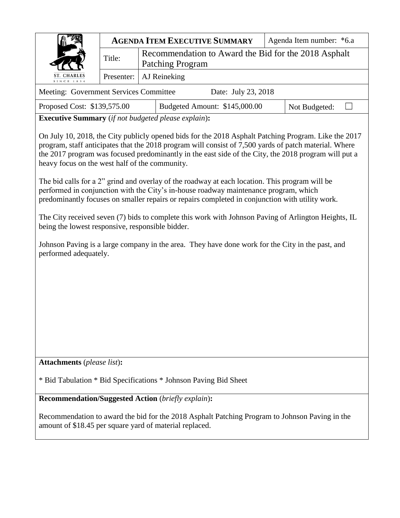|                                                                                                                                                                                                             |            | <b>AGENDA ITEM EXECUTIVE SUMMARY</b>                                     |                               |  | Agenda Item number: *6.a |  |  |
|-------------------------------------------------------------------------------------------------------------------------------------------------------------------------------------------------------------|------------|--------------------------------------------------------------------------|-------------------------------|--|--------------------------|--|--|
|                                                                                                                                                                                                             | Title:     | Recommendation to Award the Bid for the 2018 Asphalt<br>Patching Program |                               |  |                          |  |  |
| <b>ST. CHARLES</b><br>SINCE 1834                                                                                                                                                                            | Presenter: | AJ Reineking                                                             |                               |  |                          |  |  |
| Meeting: Government Services Committee<br>Date: July 23, 2018                                                                                                                                               |            |                                                                          |                               |  |                          |  |  |
| Proposed Cost: \$139,575.00                                                                                                                                                                                 |            |                                                                          | Budgeted Amount: \$145,000.00 |  | Not Budgeted:            |  |  |
| <b>Executive Summary</b> (if not budgeted please explain):                                                                                                                                                  |            |                                                                          |                               |  |                          |  |  |
| On July 10, 2018, the City publicly opened bids for the 2018 Asphalt Patching Program. Like the 2017<br>growing staff opticipates that the 2019 program will consist of 7.500 young of patch material Whore |            |                                                                          |                               |  |                          |  |  |

program, staff anticipates that the 2018 program will consist of 7,500 yards of patch material. Where the 2017 program was focused predominantly in the east side of the City, the 2018 program will put a heavy focus on the west half of the community.

The bid calls for a 2" grind and overlay of the roadway at each location. This program will be performed in conjunction with the City's in-house roadway maintenance program, which predominantly focuses on smaller repairs or repairs completed in conjunction with utility work.

The City received seven (7) bids to complete this work with Johnson Paving of Arlington Heights, IL being the lowest responsive, responsible bidder.

Johnson Paving is a large company in the area. They have done work for the City in the past, and performed adequately.

**Attachments** (*please list*)**:** 

\* Bid Tabulation \* Bid Specifications \* Johnson Paving Bid Sheet

**Recommendation/Suggested Action** (*briefly explain*)**:**

Recommendation to award the bid for the 2018 Asphalt Patching Program to Johnson Paving in the amount of \$18.45 per square yard of material replaced.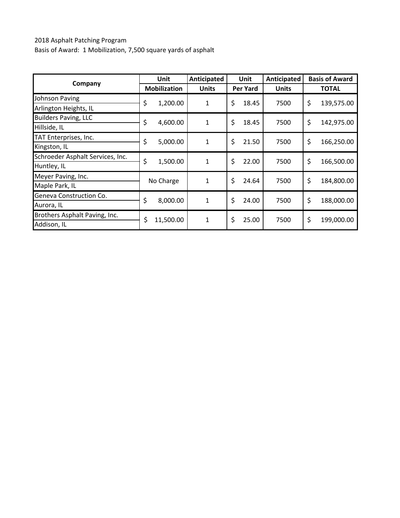### 2018 Asphalt Patching Program Basis of Award: 1 Mobilization, 7,500 square yards of asphalt

|                                  | Unit                | Anticipated  | <b>Unit</b>     | Anticipated  | <b>Basis of Award</b> |  |
|----------------------------------|---------------------|--------------|-----------------|--------------|-----------------------|--|
| Company                          | <b>Mobilization</b> | <b>Units</b> | <b>Per Yard</b> | <b>Units</b> | <b>TOTAL</b>          |  |
| Johnson Paving                   | \$<br>1,200.00      | 1            | \$<br>18.45     | 7500         | \$<br>139,575.00      |  |
| Arlington Heights, IL            |                     |              |                 |              |                       |  |
| <b>Builders Paving, LLC</b>      | \$<br>4,600.00      | $\mathbf{1}$ | \$<br>18.45     | 7500         | \$<br>142,975.00      |  |
| Hillside, IL                     |                     |              |                 |              |                       |  |
| TAT Enterprises, Inc.            | \$<br>5,000.00      | $\mathbf{1}$ | \$<br>21.50     | 7500         | \$<br>166,250.00      |  |
| Kingston, IL                     |                     |              |                 |              |                       |  |
| Schroeder Asphalt Services, Inc. | \$<br>1,500.00      | $\mathbf{1}$ | \$<br>22.00     | 7500         | \$<br>166,500.00      |  |
| Huntley, IL                      |                     |              |                 |              |                       |  |
| Meyer Paving, Inc.               | No Charge           | $\mathbf 1$  | \$<br>24.64     | 7500         | \$<br>184,800.00      |  |
| Maple Park, IL                   |                     |              |                 |              |                       |  |
| Geneva Construction Co.          | \$<br>8,000.00      | $\mathbf{1}$ | \$<br>24.00     | 7500         | \$<br>188,000.00      |  |
| Aurora, IL                       |                     |              |                 |              |                       |  |
| Brothers Asphalt Paving, Inc.    | \$<br>11,500.00     | $\mathbf{1}$ | \$<br>25.00     | 7500         | \$<br>199,000.00      |  |
| Addison, IL                      |                     |              |                 |              |                       |  |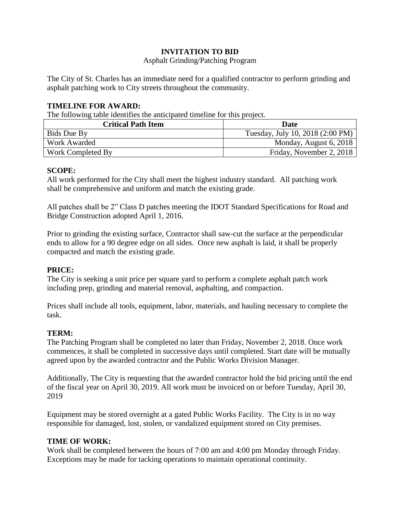### **INVITATION TO BID**

#### Asphalt Grinding/Patching Program

The City of St. Charles has an immediate need for a qualified contractor to perform grinding and asphalt patching work to City streets throughout the community.

#### **TIMELINE FOR AWARD:**

The following table identifies the anticipated timeline for this project.

| <b>Critical Path Item</b> | Date                             |  |  |
|---------------------------|----------------------------------|--|--|
| Bids Due By               | Tuesday, July 10, 2018 (2:00 PM) |  |  |
| Work Awarded              | Monday, August 6, 2018           |  |  |
| Work Completed By         | Friday, November 2, 2018         |  |  |

#### **SCOPE:**

All work performed for the City shall meet the highest industry standard. All patching work shall be comprehensive and uniform and match the existing grade.

All patches shall be 2" Class D patches meeting the IDOT Standard Specifications for Road and Bridge Construction adopted April 1, 2016.

Prior to grinding the existing surface, Contractor shall saw-cut the surface at the perpendicular ends to allow for a 90 degree edge on all sides. Once new asphalt is laid, it shall be properly compacted and match the existing grade.

#### **PRICE:**

The City is seeking a unit price per square yard to perform a complete asphalt patch work including prep, grinding and material removal, asphalting, and compaction.

Prices shall include all tools, equipment, labor, materials, and hauling necessary to complete the task.

#### **TERM:**

The Patching Program shall be completed no later than Friday, November 2, 2018. Once work commences, it shall be completed in successive days until completed. Start date will be mutually agreed upon by the awarded contractor and the Public Works Division Manager.

Additionally, The City is requesting that the awarded contractor hold the bid pricing until the end of the fiscal year on April 30, 2019. All work must be invoiced on or before Tuesday, April 30, 2019

Equipment may be stored overnight at a gated Public Works Facility. The City is in no way responsible for damaged, lost, stolen, or vandalized equipment stored on City premises.

#### **TIME OF WORK:**

Work shall be completed between the hours of 7:00 am and 4:00 pm Monday through Friday. Exceptions may be made for tacking operations to maintain operational continuity.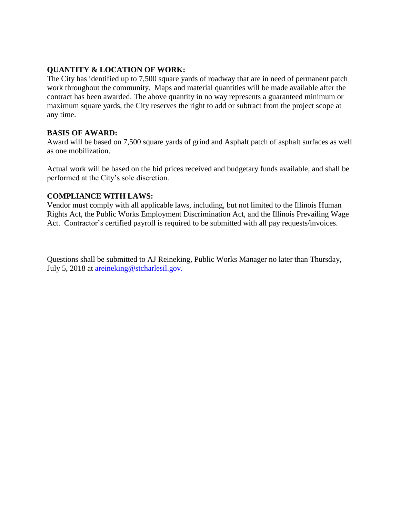#### **QUANTITY & LOCATION OF WORK:**

The City has identified up to 7,500 square yards of roadway that are in need of permanent patch work throughout the community. Maps and material quantities will be made available after the contract has been awarded. The above quantity in no way represents a guaranteed minimum or maximum square yards, the City reserves the right to add or subtract from the project scope at any time.

#### **BASIS OF AWARD:**

Award will be based on 7,500 square yards of grind and Asphalt patch of asphalt surfaces as well as one mobilization.

Actual work will be based on the bid prices received and budgetary funds available, and shall be performed at the City's sole discretion.

#### **COMPLIANCE WITH LAWS:**

Vendor must comply with all applicable laws, including, but not limited to the Illinois Human Rights Act, the Public Works Employment Discrimination Act, and the Illinois Prevailing Wage Act. Contractor's certified payroll is required to be submitted with all pay requests/invoices.

Questions shall be submitted to AJ Reineking, Public Works Manager no later than Thursday, July 5, 2018 at [areineking@stcharlesil.gov.](mailto:tbellafiore@stcharlesil.gov)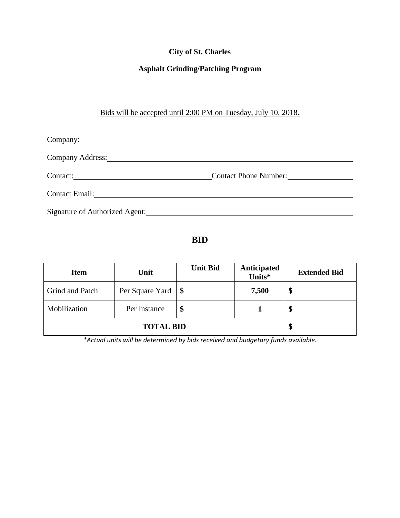## **City of St. Charles**

## **Asphalt Grinding/Patching Program**

## Bids will be accepted until 2:00 PM on Tuesday, July 10, 2018.

| Company: Company:                           |                              |  |
|---------------------------------------------|------------------------------|--|
| Company Address: No. 1996. Company Address: |                              |  |
|                                             | <b>Contact Phone Number:</b> |  |
| Contact Email: No. 1996. The Contact Email: |                              |  |
| Signature of Authorized Agent:              |                              |  |

## **BID**

| <b>Item</b>            | Unit            | <b>Unit Bid</b> | Anticipated<br>Units* |   |
|------------------------|-----------------|-----------------|-----------------------|---|
| <b>Grind and Patch</b> | Per Square Yard | $\blacksquare$  | 7,500                 | Φ |
| Mobilization           | Per Instance    | S               |                       | P |
|                        | Φ               |                 |                       |   |

*\*Actual units will be determined by bids received and budgetary funds available.*